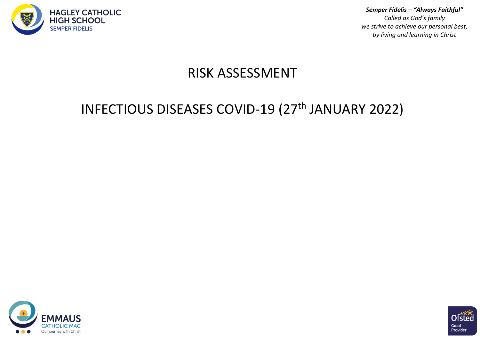

*Semper Fidelis – "Always Faithful" Called as God's family we strive to achieve our personal best, by living and learning in Christ*

## RISK ASSESSMENT

## INFECTIOUS DISEASES COVID-19 (27<sup>th</sup> JANUARY 2022)



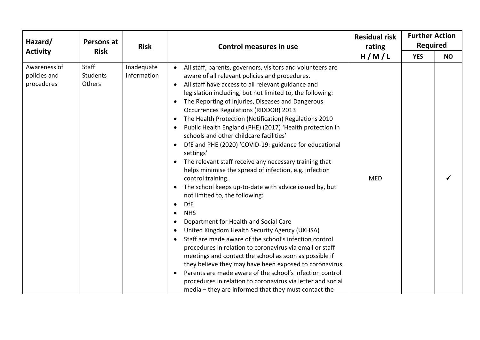| Hazard/<br><b>Activity</b>                 | Persons at                         | <b>Risk</b>               | <b>Control measures in use</b>                                                                                                                                                                                                                                                                                                                                                                                                                                                                                                                                                                                                                                                                                                                                                                                                                                                                                                                                                                                                                                                                                                                                                                                                                                                                                                                                                                              | <b>Residual risk</b><br>rating | <b>Further Action</b><br><b>Required</b> |           |
|--------------------------------------------|------------------------------------|---------------------------|-------------------------------------------------------------------------------------------------------------------------------------------------------------------------------------------------------------------------------------------------------------------------------------------------------------------------------------------------------------------------------------------------------------------------------------------------------------------------------------------------------------------------------------------------------------------------------------------------------------------------------------------------------------------------------------------------------------------------------------------------------------------------------------------------------------------------------------------------------------------------------------------------------------------------------------------------------------------------------------------------------------------------------------------------------------------------------------------------------------------------------------------------------------------------------------------------------------------------------------------------------------------------------------------------------------------------------------------------------------------------------------------------------------|--------------------------------|------------------------------------------|-----------|
|                                            | <b>Risk</b>                        |                           |                                                                                                                                                                                                                                                                                                                                                                                                                                                                                                                                                                                                                                                                                                                                                                                                                                                                                                                                                                                                                                                                                                                                                                                                                                                                                                                                                                                                             | H/M/L                          | <b>YES</b>                               | <b>NO</b> |
| Awareness of<br>policies and<br>procedures | Staff<br><b>Students</b><br>Others | Inadequate<br>information | All staff, parents, governors, visitors and volunteers are<br>aware of all relevant policies and procedures.<br>All staff have access to all relevant guidance and<br>$\bullet$<br>legislation including, but not limited to, the following:<br>The Reporting of Injuries, Diseases and Dangerous<br><b>Occurrences Regulations (RIDDOR) 2013</b><br>The Health Protection (Notification) Regulations 2010<br>Public Health England (PHE) (2017) 'Health protection in<br>$\bullet$<br>schools and other childcare facilities'<br>DfE and PHE (2020) 'COVID-19: guidance for educational<br>settings'<br>The relevant staff receive any necessary training that<br>helps minimise the spread of infection, e.g. infection<br>control training.<br>The school keeps up-to-date with advice issued by, but<br>not limited to, the following:<br><b>DfE</b><br><b>NHS</b><br>$\bullet$<br>Department for Health and Social Care<br>United Kingdom Health Security Agency (UKHSA)<br>Staff are made aware of the school's infection control<br>procedures in relation to coronavirus via email or staff<br>meetings and contact the school as soon as possible if<br>they believe they may have been exposed to coronavirus.<br>Parents are made aware of the school's infection control<br>procedures in relation to coronavirus via letter and social<br>media - they are informed that they must contact the | <b>MED</b>                     |                                          |           |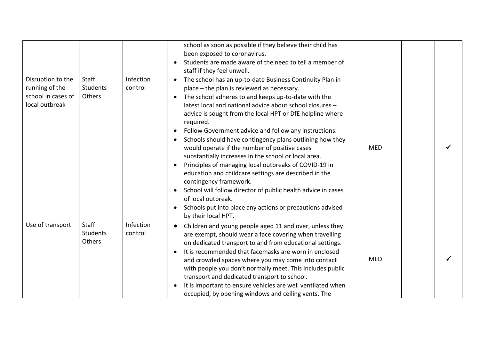|                                                                             |                                    |                      | school as soon as possible if they believe their child has<br>been exposed to coronavirus.<br>Students are made aware of the need to tell a member of<br>staff if they feel unwell.                                                                                                                                                                                                                                                                                                                                                                                                                                                                                                                                                                                                                                                                                               |            |  |
|-----------------------------------------------------------------------------|------------------------------------|----------------------|-----------------------------------------------------------------------------------------------------------------------------------------------------------------------------------------------------------------------------------------------------------------------------------------------------------------------------------------------------------------------------------------------------------------------------------------------------------------------------------------------------------------------------------------------------------------------------------------------------------------------------------------------------------------------------------------------------------------------------------------------------------------------------------------------------------------------------------------------------------------------------------|------------|--|
| Disruption to the<br>running of the<br>school in cases of<br>local outbreak | Staff<br><b>Students</b><br>Others | Infection<br>control | The school has an up-to-date Business Continuity Plan in<br>place - the plan is reviewed as necessary.<br>The school adheres to and keeps up-to-date with the<br>latest local and national advice about school closures -<br>advice is sought from the local HPT or DfE helpline where<br>required.<br>Follow Government advice and follow any instructions.<br>Schools should have contingency plans outlining how they<br>would operate if the number of positive cases<br>substantially increases in the school or local area.<br>Principles of managing local outbreaks of COVID-19 in<br>$\bullet$<br>education and childcare settings are described in the<br>contingency framework.<br>School will follow director of public health advice in cases<br>$\bullet$<br>of local outbreak.<br>Schools put into place any actions or precautions advised<br>by their local HPT. | <b>MED</b> |  |
| Use of transport                                                            | Staff<br>Students<br>Others        | Infection<br>control | Children and young people aged 11 and over, unless they<br>are exempt, should wear a face covering when travelling<br>on dedicated transport to and from educational settings.<br>It is recommended that facemasks are worn in enclosed<br>and crowded spaces where you may come into contact<br>with people you don't normally meet. This includes public<br>transport and dedicated transport to school.<br>It is important to ensure vehicles are well ventilated when<br>occupied, by opening windows and ceiling vents. The                                                                                                                                                                                                                                                                                                                                                  | <b>MED</b> |  |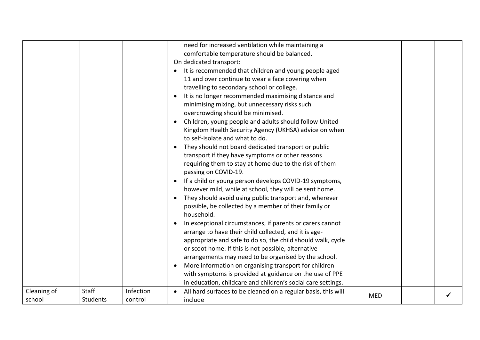| Cleaning of | Staff    | Infection | need for increased ventilation while maintaining a<br>comfortable temperature should be balanced.<br>On dedicated transport:<br>It is recommended that children and young people aged<br>11 and over continue to wear a face covering when<br>travelling to secondary school or college.<br>It is no longer recommended maximising distance and<br>minimising mixing, but unnecessary risks such<br>overcrowding should be minimised.<br>Children, young people and adults should follow United<br>Kingdom Health Security Agency (UKHSA) advice on when<br>to self-isolate and what to do.<br>They should not board dedicated transport or public<br>transport if they have symptoms or other reasons<br>requiring them to stay at home due to the risk of them<br>passing on COVID-19.<br>If a child or young person develops COVID-19 symptoms,<br>however mild, while at school, they will be sent home.<br>They should avoid using public transport and, wherever<br>possible, be collected by a member of their family or<br>household.<br>In exceptional circumstances, if parents or carers cannot<br>arrange to have their child collected, and it is age-<br>appropriate and safe to do so, the child should walk, cycle<br>or scoot home. If this is not possible, alternative<br>arrangements may need to be organised by the school.<br>More information on organising transport for children<br>with symptoms is provided at guidance on the use of PPE<br>in education, childcare and children's social care settings.<br>All hard surfaces to be cleaned on a regular basis, this will |            |  |
|-------------|----------|-----------|--------------------------------------------------------------------------------------------------------------------------------------------------------------------------------------------------------------------------------------------------------------------------------------------------------------------------------------------------------------------------------------------------------------------------------------------------------------------------------------------------------------------------------------------------------------------------------------------------------------------------------------------------------------------------------------------------------------------------------------------------------------------------------------------------------------------------------------------------------------------------------------------------------------------------------------------------------------------------------------------------------------------------------------------------------------------------------------------------------------------------------------------------------------------------------------------------------------------------------------------------------------------------------------------------------------------------------------------------------------------------------------------------------------------------------------------------------------------------------------------------------------------------------------------------------------------------------------------------------|------------|--|
| school      | Students | control   | include                                                                                                                                                                                                                                                                                                                                                                                                                                                                                                                                                                                                                                                                                                                                                                                                                                                                                                                                                                                                                                                                                                                                                                                                                                                                                                                                                                                                                                                                                                                                                                                                | <b>MED</b> |  |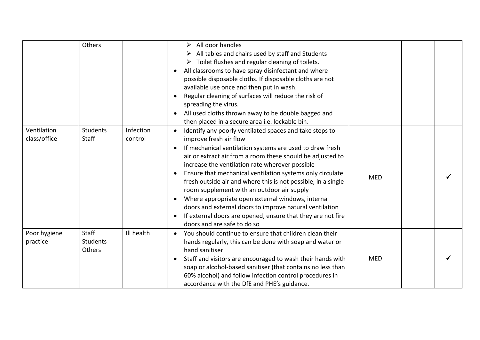|                             | Others                      |                      | All door handles<br>➤<br>All tables and chairs used by staff and Students<br>$\triangleright$ Toilet flushes and regular cleaning of toilets.<br>All classrooms to have spray disinfectant and where<br>possible disposable cloths. If disposable cloths are not<br>available use once and then put in wash.<br>Regular cleaning of surfaces will reduce the risk of<br>spreading the virus.<br>All used cloths thrown away to be double bagged and<br>then placed in a secure area i.e. lockable bin.                                                                                                                                                                |            |  |
|-----------------------------|-----------------------------|----------------------|-----------------------------------------------------------------------------------------------------------------------------------------------------------------------------------------------------------------------------------------------------------------------------------------------------------------------------------------------------------------------------------------------------------------------------------------------------------------------------------------------------------------------------------------------------------------------------------------------------------------------------------------------------------------------|------------|--|
| Ventilation<br>class/office | Students<br>Staff           | Infection<br>control | Identify any poorly ventilated spaces and take steps to<br>improve fresh air flow<br>If mechanical ventilation systems are used to draw fresh<br>$\bullet$<br>air or extract air from a room these should be adjusted to<br>increase the ventilation rate wherever possible<br>Ensure that mechanical ventilation systems only circulate<br>fresh outside air and where this is not possible, in a single<br>room supplement with an outdoor air supply<br>Where appropriate open external windows, internal<br>doors and external doors to improve natural ventilation<br>If external doors are opened, ensure that they are not fire<br>doors and are safe to do so | <b>MED</b> |  |
| Poor hygiene<br>practice    | Staff<br>Students<br>Others | Ill health           | You should continue to ensure that children clean their<br>$\bullet$<br>hands regularly, this can be done with soap and water or<br>hand sanitiser<br>Staff and visitors are encouraged to wash their hands with<br>soap or alcohol-based sanitiser (that contains no less than<br>60% alcohol) and follow infection control procedures in<br>accordance with the DfE and PHE's guidance.                                                                                                                                                                                                                                                                             | <b>MED</b> |  |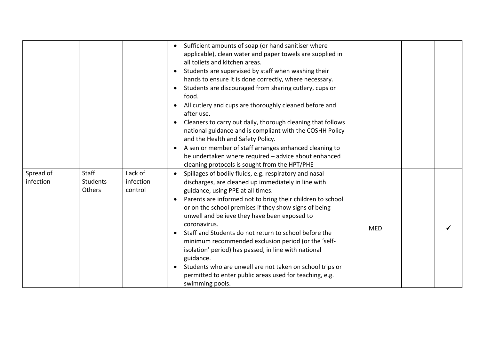|                        |                                    |                                 | Sufficient amounts of soap (or hand sanitiser where<br>$\bullet$<br>applicable), clean water and paper towels are supplied in<br>all toilets and kitchen areas.<br>Students are supervised by staff when washing their<br>hands to ensure it is done correctly, where necessary.<br>Students are discouraged from sharing cutlery, cups or<br>food.<br>All cutlery and cups are thoroughly cleaned before and<br>after use.<br>Cleaners to carry out daily, thorough cleaning that follows<br>national guidance and is compliant with the COSHH Policy<br>and the Health and Safety Policy.<br>A senior member of staff arranges enhanced cleaning to<br>$\bullet$<br>be undertaken where required - advice about enhanced<br>cleaning protocols is sought from the HPT/PHE |            |  |
|------------------------|------------------------------------|---------------------------------|-----------------------------------------------------------------------------------------------------------------------------------------------------------------------------------------------------------------------------------------------------------------------------------------------------------------------------------------------------------------------------------------------------------------------------------------------------------------------------------------------------------------------------------------------------------------------------------------------------------------------------------------------------------------------------------------------------------------------------------------------------------------------------|------------|--|
| Spread of<br>infection | <b>Staff</b><br>Students<br>Others | Lack of<br>infection<br>control | Spillages of bodily fluids, e.g. respiratory and nasal<br>$\bullet$<br>discharges, are cleaned up immediately in line with<br>guidance, using PPE at all times.<br>Parents are informed not to bring their children to school<br>or on the school premises if they show signs of being<br>unwell and believe they have been exposed to<br>coronavirus.<br>Staff and Students do not return to school before the<br>minimum recommended exclusion period (or the 'self-<br>isolation' period) has passed, in line with national<br>guidance.<br>Students who are unwell are not taken on school trips or<br>permitted to enter public areas used for teaching, e.g.<br>swimming pools.                                                                                       | <b>MED</b> |  |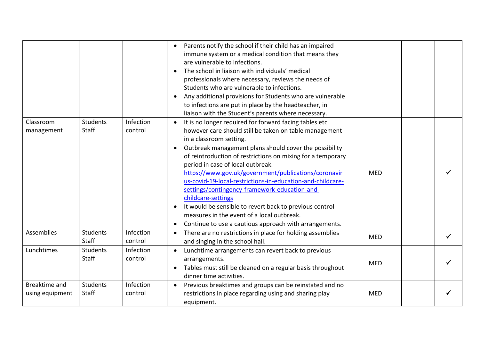|                                  |                                 |                      | Parents notify the school if their child has an impaired<br>immune system or a medical condition that means they<br>are vulnerable to infections.<br>The school in liaison with individuals' medical<br>$\bullet$<br>professionals where necessary, reviews the needs of<br>Students who are vulnerable to infections.<br>Any additional provisions for Students who are vulnerable<br>$\bullet$<br>to infections are put in place by the headteacher, in<br>liaison with the Student's parents where necessary.                                                                                                                                                                                    |            |   |
|----------------------------------|---------------------------------|----------------------|-----------------------------------------------------------------------------------------------------------------------------------------------------------------------------------------------------------------------------------------------------------------------------------------------------------------------------------------------------------------------------------------------------------------------------------------------------------------------------------------------------------------------------------------------------------------------------------------------------------------------------------------------------------------------------------------------------|------------|---|
| Classroom<br>management          | <b>Students</b><br>Staff        | Infection<br>control | It is no longer required for forward facing tables etc<br>however care should still be taken on table management<br>in a classroom setting.<br>Outbreak management plans should cover the possibility<br>of reintroduction of restrictions on mixing for a temporary<br>period in case of local outbreak.<br>https://www.gov.uk/government/publications/coronavir<br>us-covid-19-local-restrictions-in-education-and-childcare-<br>settings/contingency-framework-education-and-<br>childcare-settings<br>It would be sensible to revert back to previous control<br>$\bullet$<br>measures in the event of a local outbreak.<br>Continue to use a cautious approach with arrangements.<br>$\bullet$ | <b>MED</b> |   |
| Assemblies                       | <b>Students</b><br><b>Staff</b> | Infection<br>control | There are no restrictions in place for holding assemblies<br>and singing in the school hall.                                                                                                                                                                                                                                                                                                                                                                                                                                                                                                                                                                                                        | <b>MED</b> | ✓ |
| Lunchtimes                       | <b>Students</b><br>Staff        | Infection<br>control | Lunchtime arrangements can revert back to previous<br>arrangements.<br>Tables must still be cleaned on a regular basis throughout<br>$\bullet$<br>dinner time activities.                                                                                                                                                                                                                                                                                                                                                                                                                                                                                                                           | <b>MED</b> |   |
| Breaktime and<br>using equipment | Students<br>Staff               | Infection<br>control | Previous breaktimes and groups can be reinstated and no<br>restrictions in place regarding using and sharing play<br>equipment.                                                                                                                                                                                                                                                                                                                                                                                                                                                                                                                                                                     | <b>MED</b> |   |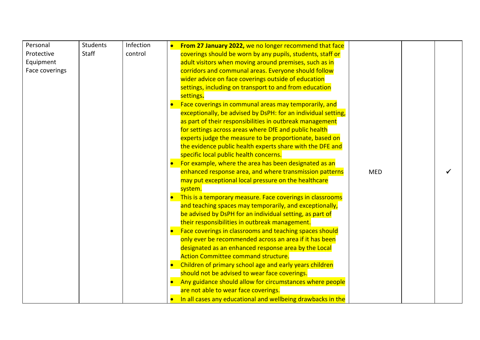| Personal       | Students | Infection | From 27 January 2022, we no longer recommend that face                   |
|----------------|----------|-----------|--------------------------------------------------------------------------|
| Protective     | Staff    | control   | coverings should be worn by any pupils, students, staff or               |
| Equipment      |          |           | adult visitors when moving around premises, such as in                   |
| Face coverings |          |           | corridors and communal areas. Everyone should follow                     |
|                |          |           | wider advice on face coverings outside of education                      |
|                |          |           | settings, including on transport to and from education                   |
|                |          |           | settings.                                                                |
|                |          |           | Face coverings in communal areas may temporarily, and                    |
|                |          |           | exceptionally, be advised by DsPH: for an individual setting,            |
|                |          |           | as part of their responsibilities in outbreak management                 |
|                |          |           | for settings across areas where DfE and public health                    |
|                |          |           | experts judge the measure to be proportionate, based on                  |
|                |          |           | the evidence public health experts share with the DFE and                |
|                |          |           | specific local public health concerns.                                   |
|                |          |           | For example, where the area has been designated as an                    |
|                |          |           | enhanced response area, and where transmission patterns<br><b>MED</b>    |
|                |          |           | may put exceptional local pressure on the healthcare                     |
|                |          |           | system.                                                                  |
|                |          |           | This is a temporary measure. Face coverings in classrooms                |
|                |          |           | and teaching spaces may temporarily, and exceptionally,                  |
|                |          |           | be advised by DsPH for an individual setting, as part of                 |
|                |          |           | their responsibilities in outbreak management.                           |
|                |          |           | Face coverings in classrooms and teaching spaces should                  |
|                |          |           | only ever be recommended across an area if it has been                   |
|                |          |           | designated as an enhanced response area by the Local                     |
|                |          |           | <b>Action Committee command structure.</b>                               |
|                |          |           | Children of primary school age and early years children                  |
|                |          |           | should not be advised to wear face coverings.                            |
|                |          |           | Any guidance should allow for circumstances where people                 |
|                |          |           | are not able to wear face coverings.                                     |
|                |          |           | In all cases any educational and wellbeing drawbacks in the<br>$\bullet$ |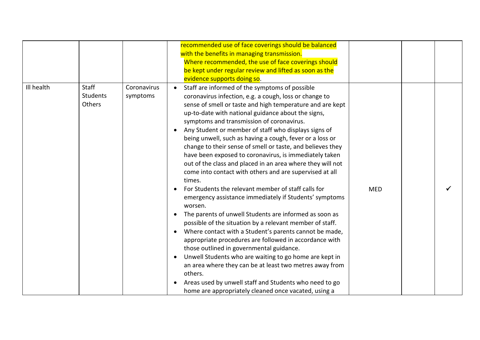|            |                                    |                         | recommended use of face coverings should be balanced<br>with the benefits in managing transmission.<br>Where recommended, the use of face coverings should<br>be kept under regular review and lifted as soon as the<br>evidence supports doing so.                                                                                                                                                                                                                                                                                                                                                                                                                                                                                                                                                                                                                                                                                                                                                                                                                                                                                                           |            |  |
|------------|------------------------------------|-------------------------|---------------------------------------------------------------------------------------------------------------------------------------------------------------------------------------------------------------------------------------------------------------------------------------------------------------------------------------------------------------------------------------------------------------------------------------------------------------------------------------------------------------------------------------------------------------------------------------------------------------------------------------------------------------------------------------------------------------------------------------------------------------------------------------------------------------------------------------------------------------------------------------------------------------------------------------------------------------------------------------------------------------------------------------------------------------------------------------------------------------------------------------------------------------|------------|--|
| Ill health | Staff<br><b>Students</b><br>Others | Coronavirus<br>symptoms | Staff are informed of the symptoms of possible<br>$\bullet$<br>coronavirus infection, e.g. a cough, loss or change to<br>sense of smell or taste and high temperature and are kept<br>up-to-date with national guidance about the signs,<br>symptoms and transmission of coronavirus.<br>Any Student or member of staff who displays signs of<br>being unwell, such as having a cough, fever or a loss or<br>change to their sense of smell or taste, and believes they<br>have been exposed to coronavirus, is immediately taken<br>out of the class and placed in an area where they will not<br>come into contact with others and are supervised at all<br>times.<br>For Students the relevant member of staff calls for<br>emergency assistance immediately if Students' symptoms<br>worsen.<br>The parents of unwell Students are informed as soon as<br>possible of the situation by a relevant member of staff.<br>Where contact with a Student's parents cannot be made,<br>appropriate procedures are followed in accordance with<br>those outlined in governmental guidance.<br>Unwell Students who are waiting to go home are kept in<br>$\bullet$ | <b>MED</b> |  |
|            |                                    |                         | an area where they can be at least two metres away from<br>others.<br>Areas used by unwell staff and Students who need to go<br>home are appropriately cleaned once vacated, using a                                                                                                                                                                                                                                                                                                                                                                                                                                                                                                                                                                                                                                                                                                                                                                                                                                                                                                                                                                          |            |  |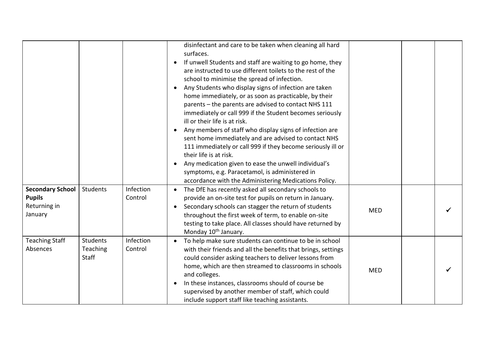|                                                                     |                                      |                      | disinfectant and care to be taken when cleaning all hard<br>surfaces.<br>If unwell Students and staff are waiting to go home, they<br>$\bullet$<br>are instructed to use different toilets to the rest of the<br>school to minimise the spread of infection.<br>Any Students who display signs of infection are taken<br>$\bullet$<br>home immediately, or as soon as practicable, by their<br>parents - the parents are advised to contact NHS 111<br>immediately or call 999 if the Student becomes seriously<br>ill or their life is at risk.<br>Any members of staff who display signs of infection are<br>$\bullet$<br>sent home immediately and are advised to contact NHS<br>111 immediately or call 999 if they become seriously ill or<br>their life is at risk.<br>Any medication given to ease the unwell individual's<br>symptoms, e.g. Paracetamol, is administered in<br>accordance with the Administering Medications Policy. |            |  |
|---------------------------------------------------------------------|--------------------------------------|----------------------|----------------------------------------------------------------------------------------------------------------------------------------------------------------------------------------------------------------------------------------------------------------------------------------------------------------------------------------------------------------------------------------------------------------------------------------------------------------------------------------------------------------------------------------------------------------------------------------------------------------------------------------------------------------------------------------------------------------------------------------------------------------------------------------------------------------------------------------------------------------------------------------------------------------------------------------------|------------|--|
| <b>Secondary School</b><br><b>Pupils</b><br>Returning in<br>January | Students                             | Infection<br>Control | The DfE has recently asked all secondary schools to<br>provide an on-site test for pupils on return in January.<br>Secondary schools can stagger the return of students<br>throughout the first week of term, to enable on-site<br>testing to take place. All classes should have returned by<br>Monday 10 <sup>th</sup> January.                                                                                                                                                                                                                                                                                                                                                                                                                                                                                                                                                                                                            | <b>MED</b> |  |
| <b>Teaching Staff</b><br>Absences                                   | Students<br>Teaching<br><b>Staff</b> | Infection<br>Control | To help make sure students can continue to be in school<br>with their friends and all the benefits that brings, settings<br>could consider asking teachers to deliver lessons from<br>home, which are then streamed to classrooms in schools<br>and colleges.<br>In these instances, classrooms should of course be<br>supervised by another member of staff, which could<br>include support staff like teaching assistants.                                                                                                                                                                                                                                                                                                                                                                                                                                                                                                                 | <b>MED</b> |  |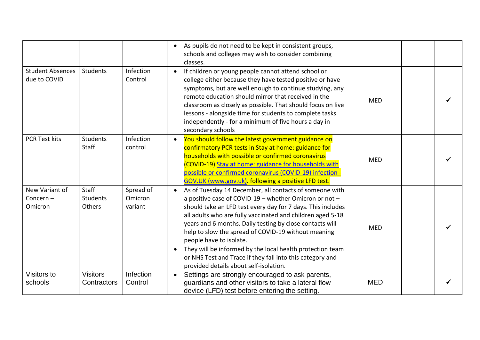|                                          |                                    |                                 | As pupils do not need to be kept in consistent groups,<br>$\bullet$<br>schools and colleges may wish to consider combining<br>classes.                                                                                                                                                                                                                                                                                                                                                                                                                           |            |  |
|------------------------------------------|------------------------------------|---------------------------------|------------------------------------------------------------------------------------------------------------------------------------------------------------------------------------------------------------------------------------------------------------------------------------------------------------------------------------------------------------------------------------------------------------------------------------------------------------------------------------------------------------------------------------------------------------------|------------|--|
| <b>Student Absences</b><br>due to COVID  | Students                           | Infection<br>Control            | If children or young people cannot attend school or<br>college either because they have tested positive or have<br>symptoms, but are well enough to continue studying, any<br>remote education should mirror that received in the<br>classroom as closely as possible. That should focus on live<br>lessons - alongside time for students to complete tasks<br>independently - for a minimum of five hours a day in<br>secondary schools                                                                                                                         | <b>MED</b> |  |
| <b>PCR Test kits</b>                     | Students<br>Staff                  | Infection<br>control            | You should follow the latest government guidance on<br>confirmatory PCR tests in Stay at home: guidance for<br>households with possible or confirmed coronavirus<br>(COVID-19) Stay at home: guidance for households with<br>possible or confirmed coronavirus (COVID-19) infection -<br>GOV.UK (www.gov.uk). following a positive LFD test.                                                                                                                                                                                                                     | <b>MED</b> |  |
| New Variant of<br>Concern $-$<br>Omicron | Staff<br><b>Students</b><br>Others | Spread of<br>Omicron<br>variant | As of Tuesday 14 December, all contacts of someone with<br>a positive case of COVID-19 - whether Omicron or not -<br>should take an LFD test every day for 7 days. This includes<br>all adults who are fully vaccinated and children aged 5-18<br>years and 6 months. Daily testing by close contacts will<br>help to slow the spread of COVID-19 without meaning<br>people have to isolate.<br>They will be informed by the local health protection team<br>or NHS Test and Trace if they fall into this category and<br>provided details about self-isolation. | <b>MED</b> |  |
| Visitors to<br>schools                   | <b>Visitors</b><br>Contractors     | Infection<br>Control            | Settings are strongly encouraged to ask parents,<br>guardians and other visitors to take a lateral flow<br>device (LFD) test before entering the setting.                                                                                                                                                                                                                                                                                                                                                                                                        | <b>MED</b> |  |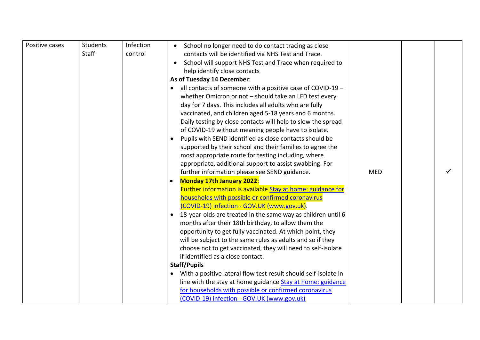| Positive cases | Students     | Infection | School no longer need to do contact tracing as close                      |            |  |
|----------------|--------------|-----------|---------------------------------------------------------------------------|------------|--|
|                | <b>Staff</b> | control   | contacts will be identified via NHS Test and Trace.                       |            |  |
|                |              |           | School will support NHS Test and Trace when required to                   |            |  |
|                |              |           | help identify close contacts                                              |            |  |
|                |              |           | As of Tuesday 14 December:                                                |            |  |
|                |              |           | all contacts of someone with a positive case of COVID-19 -                |            |  |
|                |              |           | whether Omicron or not - should take an LFD test every                    |            |  |
|                |              |           | day for 7 days. This includes all adults who are fully                    |            |  |
|                |              |           | vaccinated, and children aged 5-18 years and 6 months.                    |            |  |
|                |              |           | Daily testing by close contacts will help to slow the spread              |            |  |
|                |              |           | of COVID-19 without meaning people have to isolate.                       |            |  |
|                |              |           | Pupils with SEND identified as close contacts should be                   |            |  |
|                |              |           | supported by their school and their families to agree the                 |            |  |
|                |              |           | most appropriate route for testing including, where                       |            |  |
|                |              |           | appropriate, additional support to assist swabbing. For                   |            |  |
|                |              |           | further information please see SEND guidance.                             | <b>MED</b> |  |
|                |              |           | <b>Monday 17th January 2022:</b>                                          |            |  |
|                |              |           | Further information is available Stay at home: guidance for               |            |  |
|                |              |           | households with possible or confirmed coronavirus                         |            |  |
|                |              |           | (COVID-19) infection - GOV.UK (www.gov.uk).                               |            |  |
|                |              |           | 18-year-olds are treated in the same way as children until 6<br>$\bullet$ |            |  |
|                |              |           | months after their 18th birthday, to allow them the                       |            |  |
|                |              |           | opportunity to get fully vaccinated. At which point, they                 |            |  |
|                |              |           | will be subject to the same rules as adults and so if they                |            |  |
|                |              |           | choose not to get vaccinated, they will need to self-isolate              |            |  |
|                |              |           | if identified as a close contact.                                         |            |  |
|                |              |           | <b>Staff/Pupils</b>                                                       |            |  |
|                |              |           | With a positive lateral flow test result should self-isolate in           |            |  |
|                |              |           | line with the stay at home guidance Stay at home: guidance                |            |  |
|                |              |           | for households with possible or confirmed coronavirus                     |            |  |
|                |              |           | (COVID-19) infection - GOV.UK (www.gov.uk)                                |            |  |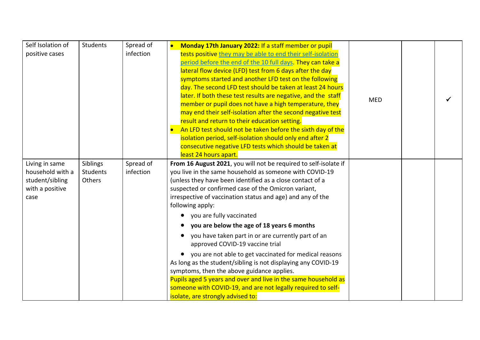| Self Isolation of | Students        | Spread of | Monday 17th January 2022: If a staff member or pupil                                  |            |  |
|-------------------|-----------------|-----------|---------------------------------------------------------------------------------------|------------|--|
| positive cases    |                 | infection | tests positive they may be able to end their self-isolation                           |            |  |
|                   |                 |           | period before the end of the 10 full days. They can take a                            |            |  |
|                   |                 |           | lateral flow device (LFD) test from 6 days after the day                              |            |  |
|                   |                 |           | symptoms started and another LFD test on the following                                |            |  |
|                   |                 |           | day. The second LFD test should be taken at least 24 hours                            |            |  |
|                   |                 |           | later. If both these test results are negative, and the staff                         | <b>MED</b> |  |
|                   |                 |           | member or pupil does not have a high temperature, they                                |            |  |
|                   |                 |           | may end their self-isolation after the second negative test                           |            |  |
|                   |                 |           | result and return to their education setting.                                         |            |  |
|                   |                 |           | An LFD test should not be taken before the sixth day of the                           |            |  |
|                   |                 |           | isolation period, self-isolation should only end after 2                              |            |  |
|                   |                 |           | consecutive negative LFD tests which should be taken at                               |            |  |
|                   |                 |           | least 24 hours apart.                                                                 |            |  |
| Living in same    | Siblings        | Spread of | From 16 August 2021, you will not be required to self-isolate if                      |            |  |
| household with a  | <b>Students</b> | infection | you live in the same household as someone with COVID-19                               |            |  |
| student/sibling   | Others          |           | (unless they have been identified as a close contact of a                             |            |  |
| with a positive   |                 |           | suspected or confirmed case of the Omicron variant,                                   |            |  |
| case              |                 |           | irrespective of vaccination status and age) and any of the                            |            |  |
|                   |                 |           | following apply:                                                                      |            |  |
|                   |                 |           | you are fully vaccinated                                                              |            |  |
|                   |                 |           | you are below the age of 18 years 6 months                                            |            |  |
|                   |                 |           | you have taken part in or are currently part of an<br>approved COVID-19 vaccine trial |            |  |
|                   |                 |           | you are not able to get vaccinated for medical reasons                                |            |  |
|                   |                 |           | As long as the student/sibling is not displaying any COVID-19                         |            |  |
|                   |                 |           | symptoms, then the above guidance applies.                                            |            |  |
|                   |                 |           | Pupils aged 5 years and over and live in the same household as                        |            |  |
|                   |                 |           | someone with COVID-19, and are not legally required to self-                          |            |  |
|                   |                 |           | isolate, are strongly advised to:                                                     |            |  |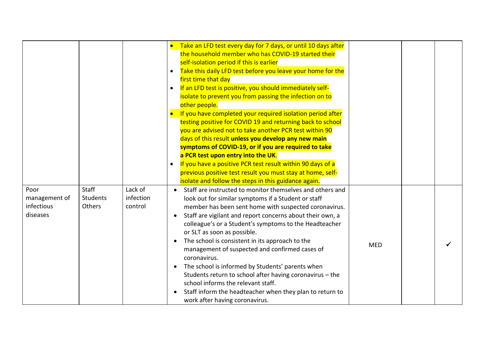|                                                 |                                           |                                 | Take an LFD test every day for 7 days, or until 10 days after<br>the household member who has COVID-19 started their<br>self-isolation period if this is earlier<br>Take this daily LFD test before you leave your home for the<br>$\bullet$<br>first time that day<br>If an LFD test is positive, you should immediately self-<br>$\bullet$<br>isolate to prevent you from passing the infection on to<br>other people.<br>If you have completed your required isolation period after<br>testing positive for COVID 19 and returning back to school<br>you are advised not to take another PCR test within 90<br>days of this result unless you develop any new main<br>symptoms of COVID-19, or if you are required to take<br>a PCR test upon entry into the UK.<br>If you have a positive PCR test result within 90 days of a<br>previous positive test result you must stay at home, self-<br>isolate and follow the steps in this guidance again. |            |  |
|-------------------------------------------------|-------------------------------------------|---------------------------------|---------------------------------------------------------------------------------------------------------------------------------------------------------------------------------------------------------------------------------------------------------------------------------------------------------------------------------------------------------------------------------------------------------------------------------------------------------------------------------------------------------------------------------------------------------------------------------------------------------------------------------------------------------------------------------------------------------------------------------------------------------------------------------------------------------------------------------------------------------------------------------------------------------------------------------------------------------|------------|--|
| Poor<br>management of<br>infectious<br>diseases | <b>Staff</b><br><b>Students</b><br>Others | Lack of<br>infection<br>control | Staff are instructed to monitor themselves and others and<br>look out for similar symptoms if a Student or staff<br>member has been sent home with suspected coronavirus.<br>Staff are vigilant and report concerns about their own, a<br>$\bullet$<br>colleague's or a Student's symptoms to the Headteacher<br>or SLT as soon as possible.<br>The school is consistent in its approach to the<br>management of suspected and confirmed cases of<br>coronavirus.<br>The school is informed by Students' parents when<br>$\bullet$<br>Students return to school after having coronavirus - the<br>school informs the relevant staff.<br>Staff inform the headteacher when they plan to return to<br>work after having coronavirus.                                                                                                                                                                                                                      | <b>MED</b> |  |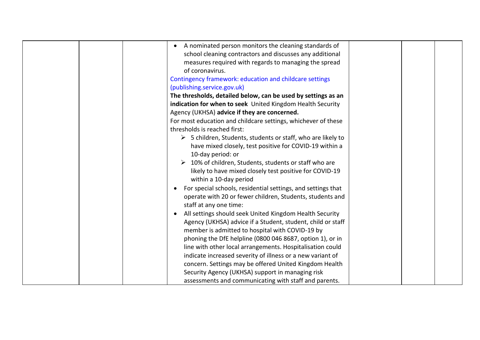|  | A nominated person monitors the cleaning standards of                       |  |  |
|--|-----------------------------------------------------------------------------|--|--|
|  | school cleaning contractors and discusses any additional                    |  |  |
|  | measures required with regards to managing the spread                       |  |  |
|  | of coronavirus.                                                             |  |  |
|  |                                                                             |  |  |
|  | Contingency framework: education and childcare settings                     |  |  |
|  | (publishing.service.gov.uk)                                                 |  |  |
|  | The thresholds, detailed below, can be used by settings as an               |  |  |
|  | indication for when to seek United Kingdom Health Security                  |  |  |
|  | Agency (UKHSA) advice if they are concerned.                                |  |  |
|  | For most education and childcare settings, whichever of these               |  |  |
|  | thresholds is reached first:                                                |  |  |
|  | $\triangleright$ 5 children, Students, students or staff, who are likely to |  |  |
|  | have mixed closely, test positive for COVID-19 within a                     |  |  |
|  | 10-day period: or                                                           |  |  |
|  | 10% of children, Students, students or staff who are                        |  |  |
|  | likely to have mixed closely test positive for COVID-19                     |  |  |
|  | within a 10-day period                                                      |  |  |
|  | For special schools, residential settings, and settings that                |  |  |
|  | operate with 20 or fewer children, Students, students and                   |  |  |
|  | staff at any one time:                                                      |  |  |
|  | All settings should seek United Kingdom Health Security                     |  |  |
|  | Agency (UKHSA) advice if a Student, student, child or staff                 |  |  |
|  | member is admitted to hospital with COVID-19 by                             |  |  |
|  |                                                                             |  |  |
|  | phoning the DfE helpline (0800 046 8687, option 1), or in                   |  |  |
|  | line with other local arrangements. Hospitalisation could                   |  |  |
|  | indicate increased severity of illness or a new variant of                  |  |  |
|  | concern. Settings may be offered United Kingdom Health                      |  |  |
|  | Security Agency (UKHSA) support in managing risk                            |  |  |
|  | assessments and communicating with staff and parents.                       |  |  |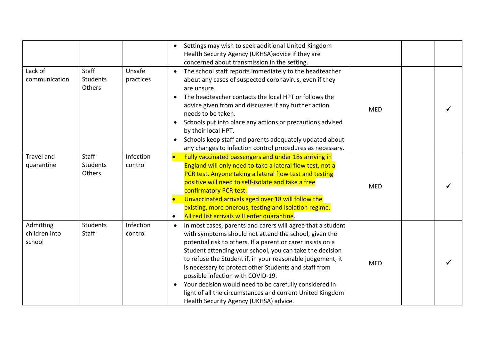|                                      |                                    |                      | Settings may wish to seek additional United Kingdom<br>Health Security Agency (UKHSA) advice if they are<br>concerned about transmission in the setting.                                                                                                                                                                                                                                                                                                                                                                                                                                  |            |  |
|--------------------------------------|------------------------------------|----------------------|-------------------------------------------------------------------------------------------------------------------------------------------------------------------------------------------------------------------------------------------------------------------------------------------------------------------------------------------------------------------------------------------------------------------------------------------------------------------------------------------------------------------------------------------------------------------------------------------|------------|--|
| Lack of<br>communication             | <b>Staff</b><br>Students<br>Others | Unsafe<br>practices  | The school staff reports immediately to the headteacher<br>$\bullet$<br>about any cases of suspected coronavirus, even if they<br>are unsure.<br>The headteacher contacts the local HPT or follows the<br>advice given from and discusses if any further action<br>needs to be taken.<br>Schools put into place any actions or precautions advised<br>by their local HPT.<br>Schools keep staff and parents adequately updated about<br>any changes to infection control procedures as necessary.                                                                                         | <b>MED</b> |  |
| Travel and<br>quarantine             | <b>Staff</b><br>Students<br>Others | Infection<br>control | Fully vaccinated passengers and under 18s arriving in<br>England will only need to take a lateral flow test, not a<br>PCR test. Anyone taking a lateral flow test and testing<br>positive will need to self-isolate and take a free<br>confirmatory PCR test.<br>Unvaccinated arrivals aged over 18 will follow the<br>existing, more onerous, testing and isolation regime.<br>All red list arrivals will enter quarantine.<br>$\bullet$                                                                                                                                                 | <b>MED</b> |  |
| Admitting<br>children into<br>school | Students<br><b>Staff</b>           | Infection<br>control | In most cases, parents and carers will agree that a student<br>$\bullet$<br>with symptoms should not attend the school, given the<br>potential risk to others. If a parent or carer insists on a<br>Student attending your school, you can take the decision<br>to refuse the Student if, in your reasonable judgement, it<br>is necessary to protect other Students and staff from<br>possible infection with COVID-19.<br>Your decision would need to be carefully considered in<br>light of all the circumstances and current United Kingdom<br>Health Security Agency (UKHSA) advice. | <b>MED</b> |  |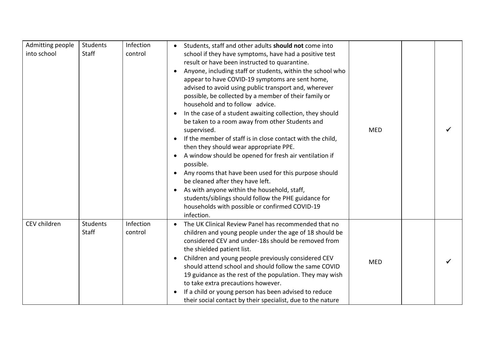| Admitting people<br>into school | Students<br>Staff        | Infection<br>control | Students, staff and other adults should not come into<br>school if they have symptoms, have had a positive test<br>result or have been instructed to quarantine.<br>Anyone, including staff or students, within the school who<br>appear to have COVID-19 symptoms are sent home,<br>advised to avoid using public transport and, wherever<br>possible, be collected by a member of their family or<br>household and to follow advice.<br>In the case of a student awaiting collection, they should<br>be taken to a room away from other Students and<br>supervised.<br>If the member of staff is in close contact with the child,<br>then they should wear appropriate PPE.<br>A window should be opened for fresh air ventilation if<br>possible.<br>Any rooms that have been used for this purpose should<br>$\bullet$<br>be cleaned after they have left.<br>As with anyone within the household, staff,<br>students/siblings should follow the PHE guidance for<br>households with possible or confirmed COVID-19<br>infection. | <b>MED</b> |  |
|---------------------------------|--------------------------|----------------------|---------------------------------------------------------------------------------------------------------------------------------------------------------------------------------------------------------------------------------------------------------------------------------------------------------------------------------------------------------------------------------------------------------------------------------------------------------------------------------------------------------------------------------------------------------------------------------------------------------------------------------------------------------------------------------------------------------------------------------------------------------------------------------------------------------------------------------------------------------------------------------------------------------------------------------------------------------------------------------------------------------------------------------------|------------|--|
| CEV children                    | <b>Students</b><br>Staff | Infection<br>control | The UK Clinical Review Panel has recommended that no<br>children and young people under the age of 18 should be<br>considered CEV and under-18s should be removed from<br>the shielded patient list.<br>Children and young people previously considered CEV<br>should attend school and should follow the same COVID<br>19 guidance as the rest of the population. They may wish<br>to take extra precautions however.<br>If a child or young person has been advised to reduce<br>their social contact by their specialist, due to the nature                                                                                                                                                                                                                                                                                                                                                                                                                                                                                        | <b>MED</b> |  |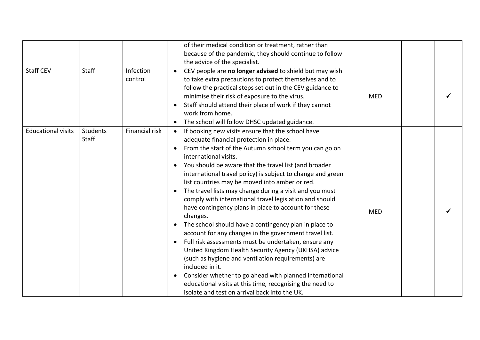| <b>Staff CEV</b>          | Staff             | Infection<br>control | of their medical condition or treatment, rather than<br>because of the pandemic, they should continue to follow<br>the advice of the specialist.<br>CEV people are no longer advised to shield but may wish<br>$\bullet$<br>to take extra precautions to protect themselves and to<br>follow the practical steps set out in the CEV guidance to<br>minimise their risk of exposure to the virus.                                                                                                                                                                                                                                                                                                                                                                                                                                                                                                                                                                                                                                                                                            | <b>MED</b> |  |
|---------------------------|-------------------|----------------------|---------------------------------------------------------------------------------------------------------------------------------------------------------------------------------------------------------------------------------------------------------------------------------------------------------------------------------------------------------------------------------------------------------------------------------------------------------------------------------------------------------------------------------------------------------------------------------------------------------------------------------------------------------------------------------------------------------------------------------------------------------------------------------------------------------------------------------------------------------------------------------------------------------------------------------------------------------------------------------------------------------------------------------------------------------------------------------------------|------------|--|
|                           |                   |                      | Staff should attend their place of work if they cannot<br>work from home.<br>The school will follow DHSC updated guidance.                                                                                                                                                                                                                                                                                                                                                                                                                                                                                                                                                                                                                                                                                                                                                                                                                                                                                                                                                                  |            |  |
| <b>Educational visits</b> | Students<br>Staff | Financial risk       | If booking new visits ensure that the school have<br>$\bullet$<br>adequate financial protection in place.<br>From the start of the Autumn school term you can go on<br>international visits.<br>You should be aware that the travel list (and broader<br>$\bullet$<br>international travel policy) is subject to change and green<br>list countries may be moved into amber or red.<br>The travel lists may change during a visit and you must<br>comply with international travel legislation and should<br>have contingency plans in place to account for these<br>changes.<br>The school should have a contingency plan in place to<br>account for any changes in the government travel list.<br>Full risk assessments must be undertaken, ensure any<br>$\bullet$<br>United Kingdom Health Security Agency (UKHSA) advice<br>(such as hygiene and ventilation requirements) are<br>included in it.<br>Consider whether to go ahead with planned international<br>$\bullet$<br>educational visits at this time, recognising the need to<br>isolate and test on arrival back into the UK. | <b>MED</b> |  |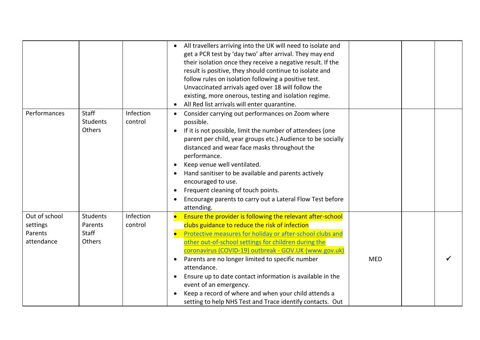|                                                    |                                               |                      | All travellers arriving into the UK will need to isolate and<br>get a PCR test by 'day two' after arrival. They may end<br>their isolation once they receive a negative result. If the<br>result is positive, they should continue to isolate and<br>follow rules on isolation following a positive test.<br>Unvaccinated arrivals aged over 18 will follow the<br>existing, more onerous, testing and isolation regime.<br>All Red list arrivals will enter quarantine.                                                                                                                                         |            |  |
|----------------------------------------------------|-----------------------------------------------|----------------------|------------------------------------------------------------------------------------------------------------------------------------------------------------------------------------------------------------------------------------------------------------------------------------------------------------------------------------------------------------------------------------------------------------------------------------------------------------------------------------------------------------------------------------------------------------------------------------------------------------------|------------|--|
| Performances                                       | <b>Staff</b><br>Students<br>Others            | Infection<br>control | Consider carrying out performances on Zoom where<br>possible.<br>If it is not possible, limit the number of attendees (one<br>$\bullet$<br>parent per child, year groups etc.) Audience to be socially<br>distanced and wear face masks throughout the<br>performance.<br>Keep venue well ventilated.<br>Hand sanitiser to be available and parents actively<br>encouraged to use.<br>Frequent cleaning of touch points.<br>Encourage parents to carry out a Lateral Flow Test before<br>attending.                                                                                                              |            |  |
| Out of school<br>settings<br>Parents<br>attendance | <b>Students</b><br>Parents<br>Staff<br>Others | Infection<br>control | Ensure the provider is following the relevant after-school<br>$\bullet$<br>clubs guidance to reduce the risk of infection<br>Protective measures for holiday or after-school clubs and<br>$\bullet$<br>other out-of-school settings for children during the<br>coronavirus (COVID-19) outbreak - GOV.UK (www.gov.uk)<br>Parents are no longer limited to specific number<br>$\bullet$<br>attendance.<br>Ensure up to date contact information is available in the<br>event of an emergency.<br>Keep a record of where and when your child attends a<br>setting to help NHS Test and Trace identify contacts. Out | <b>MED</b> |  |